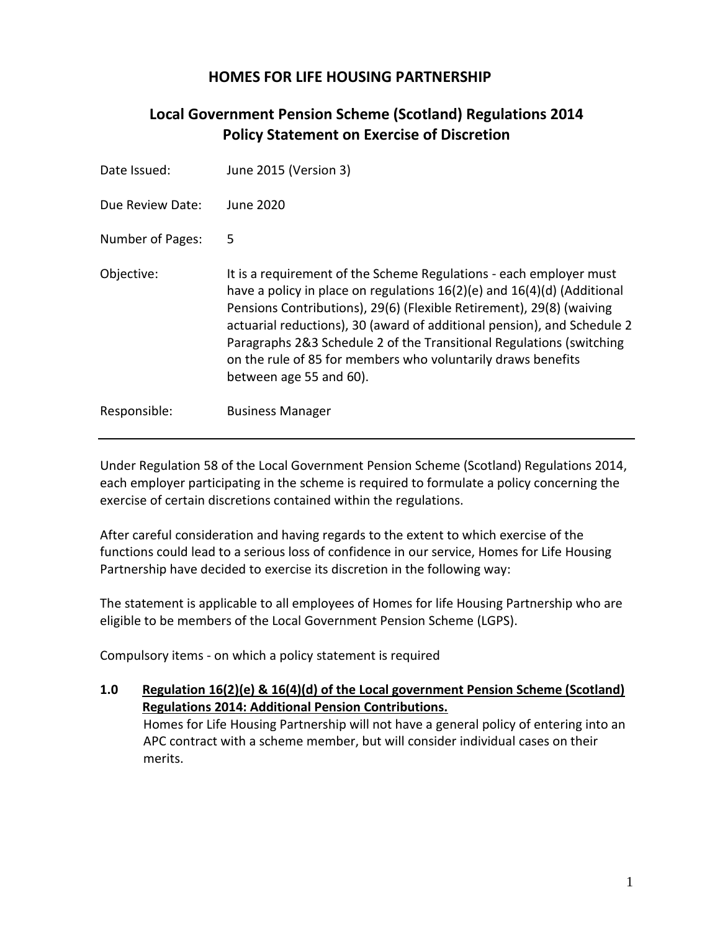# **HOMES FOR LIFE HOUSING PARTNERSHIP**

# **Local Government Pension Scheme (Scotland) Regulations 2014 Policy Statement on Exercise of Discretion**

| Date Issued:     | June 2015 (Version 3)                                                                                                                                                                                                                                                                                                                                                                                                                                                   |
|------------------|-------------------------------------------------------------------------------------------------------------------------------------------------------------------------------------------------------------------------------------------------------------------------------------------------------------------------------------------------------------------------------------------------------------------------------------------------------------------------|
| Due Review Date: | June 2020                                                                                                                                                                                                                                                                                                                                                                                                                                                               |
| Number of Pages: | 5                                                                                                                                                                                                                                                                                                                                                                                                                                                                       |
| Objective:       | It is a requirement of the Scheme Regulations - each employer must<br>have a policy in place on regulations $16(2)(e)$ and $16(4)(d)$ (Additional<br>Pensions Contributions), 29(6) (Flexible Retirement), 29(8) (waiving<br>actuarial reductions), 30 (award of additional pension), and Schedule 2<br>Paragraphs 2&3 Schedule 2 of the Transitional Regulations (switching<br>on the rule of 85 for members who voluntarily draws benefits<br>between age 55 and 60). |
| Responsible:     | <b>Business Manager</b>                                                                                                                                                                                                                                                                                                                                                                                                                                                 |

Under Regulation 58 of the Local Government Pension Scheme (Scotland) Regulations 2014, each employer participating in the scheme is required to formulate a policy concerning the exercise of certain discretions contained within the regulations.

After careful consideration and having regards to the extent to which exercise of the functions could lead to a serious loss of confidence in our service, Homes for Life Housing Partnership have decided to exercise its discretion in the following way:

The statement is applicable to all employees of Homes for life Housing Partnership who are eligible to be members of the Local Government Pension Scheme (LGPS).

Compulsory items - on which a policy statement is required

**1.0 Regulation 16(2)(e) & 16(4)(d) of the Local government Pension Scheme (Scotland) Regulations 2014: Additional Pension Contributions.** Homes for Life Housing Partnership will not have a general policy of entering into an APC contract with a scheme member, but will consider individual cases on their merits.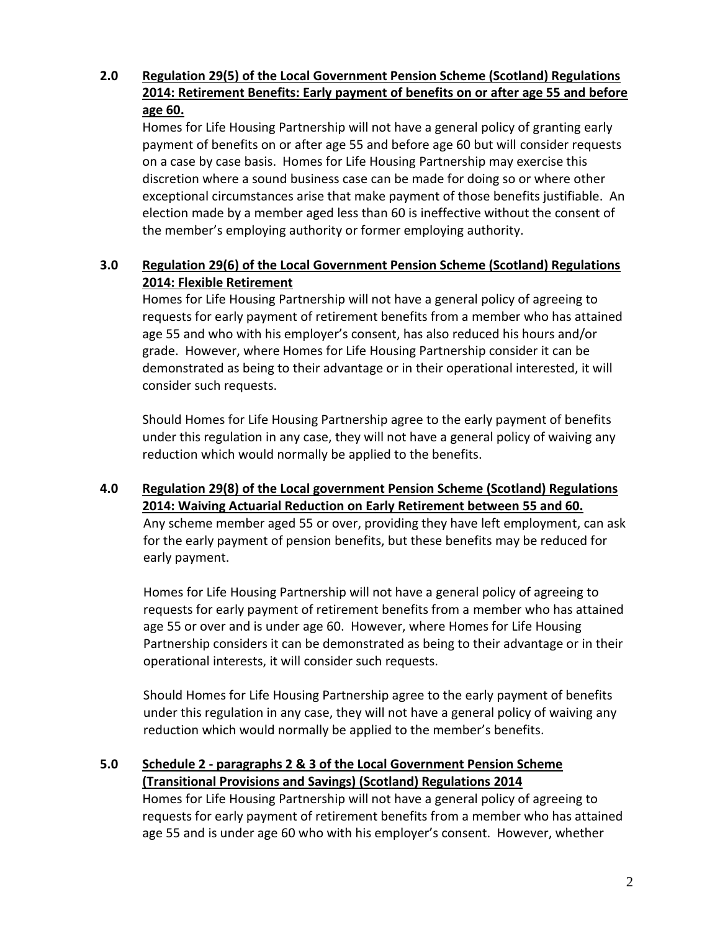# **2.0 Regulation 29(5) of the Local Government Pension Scheme (Scotland) Regulations 2014: Retirement Benefits: Early payment of benefits on or after age 55 and before age 60.**

Homes for Life Housing Partnership will not have a general policy of granting early payment of benefits on or after age 55 and before age 60 but will consider requests on a case by case basis. Homes for Life Housing Partnership may exercise this discretion where a sound business case can be made for doing so or where other exceptional circumstances arise that make payment of those benefits justifiable. An election made by a member aged less than 60 is ineffective without the consent of the member's employing authority or former employing authority.

### **3.0 Regulation 29(6) of the Local Government Pension Scheme (Scotland) Regulations 2014: Flexible Retirement**

Homes for Life Housing Partnership will not have a general policy of agreeing to requests for early payment of retirement benefits from a member who has attained age 55 and who with his employer's consent, has also reduced his hours and/or grade. However, where Homes for Life Housing Partnership consider it can be demonstrated as being to their advantage or in their operational interested, it will consider such requests.

Should Homes for Life Housing Partnership agree to the early payment of benefits under this regulation in any case, they will not have a general policy of waiving any reduction which would normally be applied to the benefits.

#### **4.0 Regulation 29(8) of the Local government Pension Scheme (Scotland) Regulations 2014: Waiving Actuarial Reduction on Early Retirement between 55 and 60.** Any scheme member aged 55 or over, providing they have left employment, can ask for the early payment of pension benefits, but these benefits may be reduced for early payment.

Homes for Life Housing Partnership will not have a general policy of agreeing to requests for early payment of retirement benefits from a member who has attained age 55 or over and is under age 60. However, where Homes for Life Housing Partnership considers it can be demonstrated as being to their advantage or in their operational interests, it will consider such requests.

Should Homes for Life Housing Partnership agree to the early payment of benefits under this regulation in any case, they will not have a general policy of waiving any reduction which would normally be applied to the member's benefits.

# **5.0 Schedule 2 - paragraphs 2 & 3 of the Local Government Pension Scheme (Transitional Provisions and Savings) (Scotland) Regulations 2014**

Homes for Life Housing Partnership will not have a general policy of agreeing to requests for early payment of retirement benefits from a member who has attained age 55 and is under age 60 who with his employer's consent. However, whether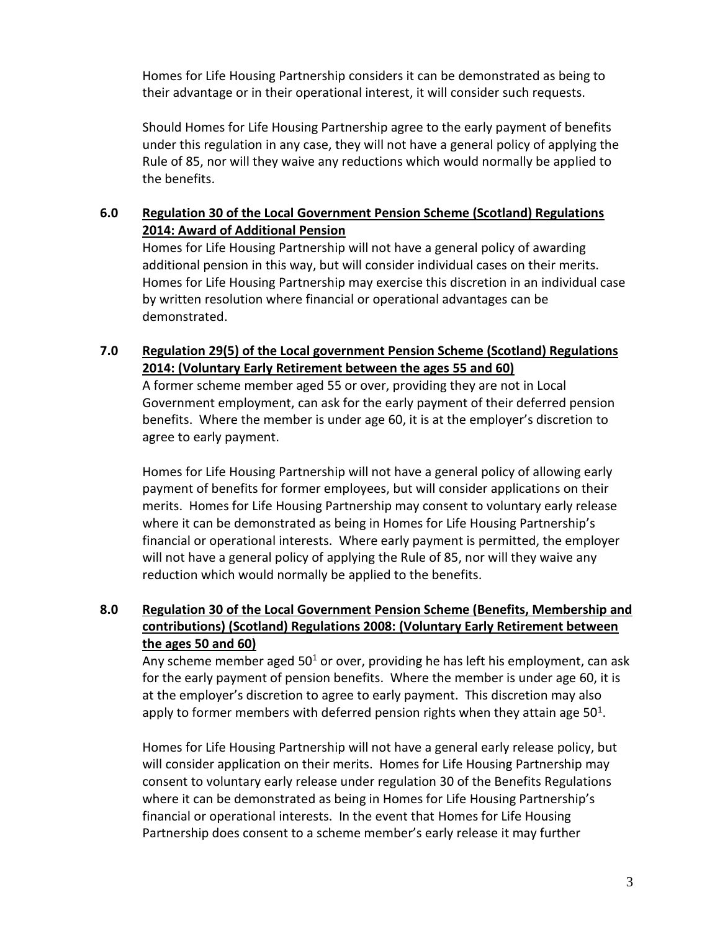Homes for Life Housing Partnership considers it can be demonstrated as being to their advantage or in their operational interest, it will consider such requests.

Should Homes for Life Housing Partnership agree to the early payment of benefits under this regulation in any case, they will not have a general policy of applying the Rule of 85, nor will they waive any reductions which would normally be applied to the benefits.

#### **6.0 Regulation 30 of the Local Government Pension Scheme (Scotland) Regulations 2014: Award of Additional Pension**

Homes for Life Housing Partnership will not have a general policy of awarding additional pension in this way, but will consider individual cases on their merits. Homes for Life Housing Partnership may exercise this discretion in an individual case by written resolution where financial or operational advantages can be demonstrated.

#### **7.0 Regulation 29(5) of the Local government Pension Scheme (Scotland) Regulations 2014: (Voluntary Early Retirement between the ages 55 and 60)**

A former scheme member aged 55 or over, providing they are not in Local Government employment, can ask for the early payment of their deferred pension benefits. Where the member is under age 60, it is at the employer's discretion to agree to early payment.

Homes for Life Housing Partnership will not have a general policy of allowing early payment of benefits for former employees, but will consider applications on their merits. Homes for Life Housing Partnership may consent to voluntary early release where it can be demonstrated as being in Homes for Life Housing Partnership's financial or operational interests. Where early payment is permitted, the employer will not have a general policy of applying the Rule of 85, nor will they waive any reduction which would normally be applied to the benefits.

# **8.0 Regulation 30 of the Local Government Pension Scheme (Benefits, Membership and contributions) (Scotland) Regulations 2008: (Voluntary Early Retirement between the ages 50 and 60)**

Any scheme member aged  $50<sup>1</sup>$  or over, providing he has left his employment, can ask for the early payment of pension benefits. Where the member is under age 60, it is at the employer's discretion to agree to early payment. This discretion may also apply to former members with deferred pension rights when they attain age  $50^1$ .

Homes for Life Housing Partnership will not have a general early release policy, but will consider application on their merits. Homes for Life Housing Partnership may consent to voluntary early release under regulation 30 of the Benefits Regulations where it can be demonstrated as being in Homes for Life Housing Partnership's financial or operational interests. In the event that Homes for Life Housing Partnership does consent to a scheme member's early release it may further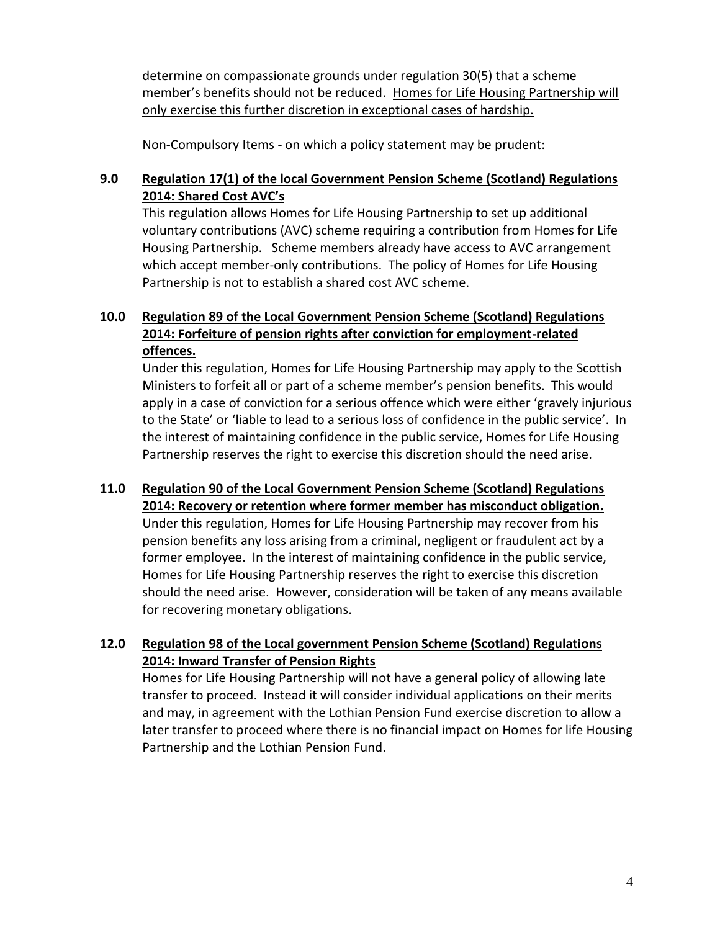determine on compassionate grounds under regulation 30(5) that a scheme member's benefits should not be reduced. Homes for Life Housing Partnership will only exercise this further discretion in exceptional cases of hardship.

Non-Compulsory Items - on which a policy statement may be prudent:

# **9.0 Regulation 17(1) of the local Government Pension Scheme (Scotland) Regulations 2014: Shared Cost AVC's**

This regulation allows Homes for Life Housing Partnership to set up additional voluntary contributions (AVC) scheme requiring a contribution from Homes for Life Housing Partnership. Scheme members already have access to AVC arrangement which accept member-only contributions. The policy of Homes for Life Housing Partnership is not to establish a shared cost AVC scheme.

# **10.0 Regulation 89 of the Local Government Pension Scheme (Scotland) Regulations 2014: Forfeiture of pension rights after conviction for employment-related offences.**

Under this regulation, Homes for Life Housing Partnership may apply to the Scottish Ministers to forfeit all or part of a scheme member's pension benefits. This would apply in a case of conviction for a serious offence which were either 'gravely injurious to the State' or 'liable to lead to a serious loss of confidence in the public service'. In the interest of maintaining confidence in the public service, Homes for Life Housing Partnership reserves the right to exercise this discretion should the need arise.

# **11.0 Regulation 90 of the Local Government Pension Scheme (Scotland) Regulations 2014: Recovery or retention where former member has misconduct obligation.** Under this regulation, Homes for Life Housing Partnership may recover from his pension benefits any loss arising from a criminal, negligent or fraudulent act by a former employee. In the interest of maintaining confidence in the public service, Homes for Life Housing Partnership reserves the right to exercise this discretion should the need arise. However, consideration will be taken of any means available for recovering monetary obligations.

# **12.0 Regulation 98 of the Local government Pension Scheme (Scotland) Regulations 2014: Inward Transfer of Pension Rights**

Homes for Life Housing Partnership will not have a general policy of allowing late transfer to proceed. Instead it will consider individual applications on their merits and may, in agreement with the Lothian Pension Fund exercise discretion to allow a later transfer to proceed where there is no financial impact on Homes for life Housing Partnership and the Lothian Pension Fund.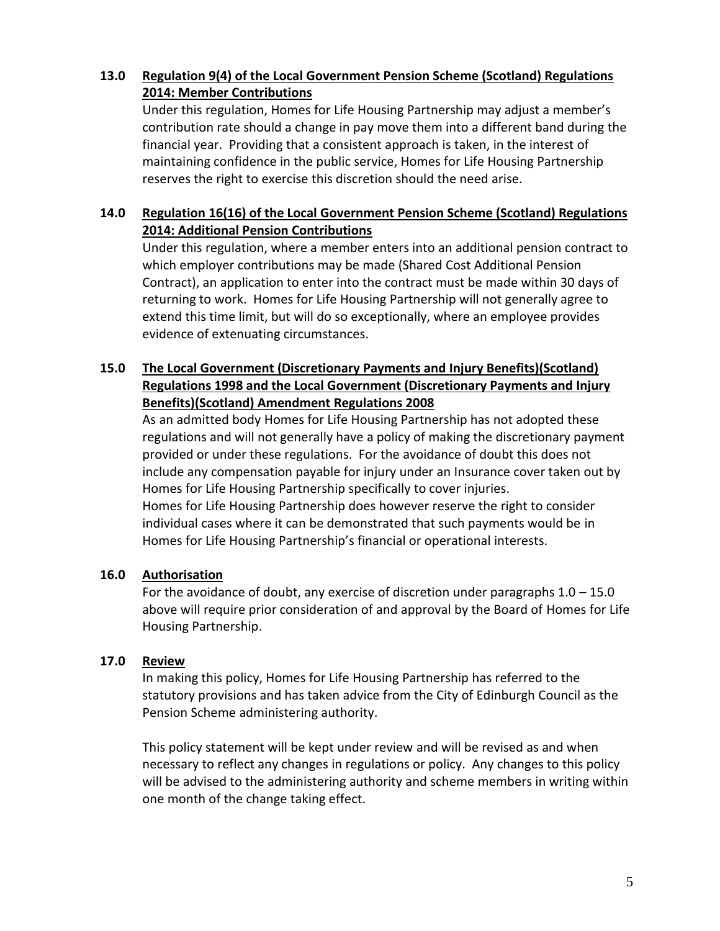#### **13.0 Regulation 9(4) of the Local Government Pension Scheme (Scotland) Regulations 2014: Member Contributions**

Under this regulation, Homes for Life Housing Partnership may adjust a member's contribution rate should a change in pay move them into a different band during the financial year. Providing that a consistent approach is taken, in the interest of maintaining confidence in the public service, Homes for Life Housing Partnership reserves the right to exercise this discretion should the need arise.

### **14.0 Regulation 16(16) of the Local Government Pension Scheme (Scotland) Regulations 2014: Additional Pension Contributions**

Under this regulation, where a member enters into an additional pension contract to which employer contributions may be made (Shared Cost Additional Pension Contract), an application to enter into the contract must be made within 30 days of returning to work. Homes for Life Housing Partnership will not generally agree to extend this time limit, but will do so exceptionally, where an employee provides evidence of extenuating circumstances.

### **15.0 The Local Government (Discretionary Payments and Injury Benefits)(Scotland) Regulations 1998 and the Local Government (Discretionary Payments and Injury Benefits)(Scotland) Amendment Regulations 2008**

As an admitted body Homes for Life Housing Partnership has not adopted these regulations and will not generally have a policy of making the discretionary payment provided or under these regulations. For the avoidance of doubt this does not include any compensation payable for injury under an Insurance cover taken out by Homes for Life Housing Partnership specifically to cover injuries. Homes for Life Housing Partnership does however reserve the right to consider individual cases where it can be demonstrated that such payments would be in Homes for Life Housing Partnership's financial or operational interests.

#### **16.0 Authorisation**

For the avoidance of doubt, any exercise of discretion under paragraphs  $1.0 - 15.0$ above will require prior consideration of and approval by the Board of Homes for Life Housing Partnership.

#### **17.0 Review**

In making this policy, Homes for Life Housing Partnership has referred to the statutory provisions and has taken advice from the City of Edinburgh Council as the Pension Scheme administering authority.

This policy statement will be kept under review and will be revised as and when necessary to reflect any changes in regulations or policy. Any changes to this policy will be advised to the administering authority and scheme members in writing within one month of the change taking effect.